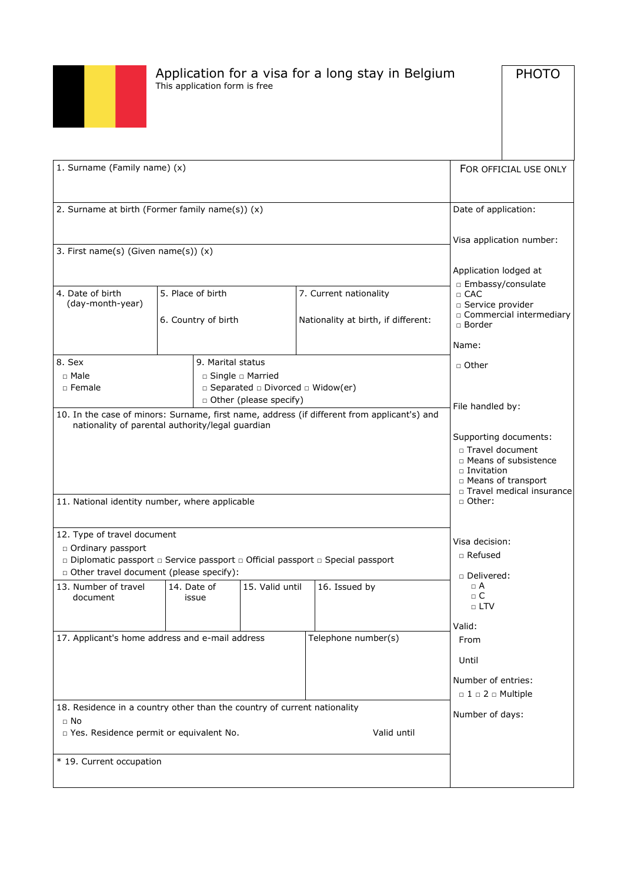

# Application for a visa for a long stay in Belgium This application form is free

**PHOTO** 

| 1. Surname (Family name) (x)                                                                                                                                                                                           |                                          |                                                                                                                                    |                 |                                                               | FOR OFFICIAL USE ONLY |                                                                                                                |                                                                                                              |
|------------------------------------------------------------------------------------------------------------------------------------------------------------------------------------------------------------------------|------------------------------------------|------------------------------------------------------------------------------------------------------------------------------------|-----------------|---------------------------------------------------------------|-----------------------|----------------------------------------------------------------------------------------------------------------|--------------------------------------------------------------------------------------------------------------|
| 2. Surname at birth (Former family name(s)) (x)                                                                                                                                                                        |                                          |                                                                                                                                    |                 | Date of application:                                          |                       |                                                                                                                |                                                                                                              |
| 3. First name(s) (Given name(s)) (x)                                                                                                                                                                                   |                                          |                                                                                                                                    |                 |                                                               |                       | Application lodged at                                                                                          | Visa application number:                                                                                     |
| 4. Date of birth<br>(day-month-year)                                                                                                                                                                                   | 5. Place of birth<br>6. Country of birth |                                                                                                                                    |                 | 7. Current nationality<br>Nationality at birth, if different: |                       | □ Embassy/consulate<br>$\Box$ CAC<br>□ Service provider<br>□ Commercial intermediary<br>$\Box$ Border<br>Name: |                                                                                                              |
| 8. Sex<br>□ Male<br>□ Female                                                                                                                                                                                           |                                          | 9. Marital status<br>$\Box$ Single $\Box$ Married<br>$\Box$ Separated $\Box$ Divorced $\Box$ Widow(er)<br>D Other (please specify) |                 |                                                               |                       | □ Other<br>File handled by:                                                                                    |                                                                                                              |
| 10. In the case of minors: Surname, first name, address (if different from applicant's) and<br>nationality of parental authority/legal guardian<br>11. National identity number, where applicable                      |                                          |                                                                                                                                    |                 |                                                               |                       | □ Travel document<br>$\square$ Invitation<br>□ Other:                                                          | Supporting documents:<br>□ Means of subsistence<br><b>D</b> Means of transport<br>□ Travel medical insurance |
| 12. Type of travel document<br>□ Ordinary passport<br>□ Diplomatic passport □ Service passport □ Official passport □ Special passport<br>D Other travel document (please specify):<br>13. Number of travel<br>document | 14. Date of<br>issue                     |                                                                                                                                    | 15. Valid until | 16. Issued by                                                 |                       | Visa decision:<br>□ Refused<br>□ Delivered:<br>$\Box$ A<br>$\Box$ C                                            |                                                                                                              |
|                                                                                                                                                                                                                        |                                          |                                                                                                                                    |                 |                                                               |                       | $\Box$ LTV<br>Valid:                                                                                           |                                                                                                              |
| 17. Applicant's home address and e-mail address                                                                                                                                                                        |                                          |                                                                                                                                    |                 | Telephone number(s)                                           |                       | From<br>Until<br>Number of entries:<br>$\Box$ 1 $\Box$ 2 $\Box$ Multiple                                       |                                                                                                              |
| 18. Residence in a country other than the country of current nationality<br>$\Box$ No<br>D Yes. Residence permit or equivalent No.<br>Valid until<br>* 19. Current occupation                                          |                                          |                                                                                                                                    |                 | Number of days:                                               |                       |                                                                                                                |                                                                                                              |
|                                                                                                                                                                                                                        |                                          |                                                                                                                                    |                 |                                                               |                       |                                                                                                                |                                                                                                              |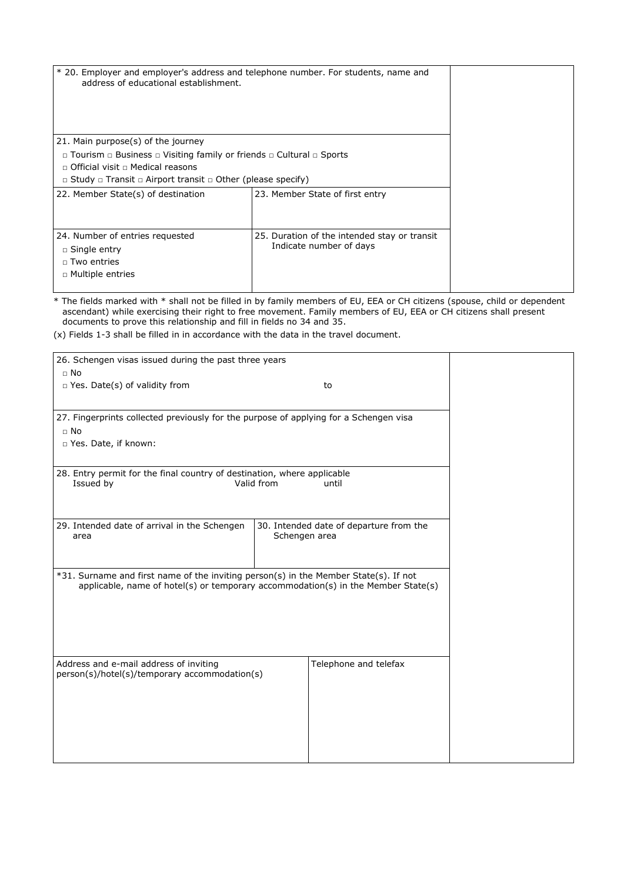| * 20. Employer and employer's address and telephone number. For students, name and<br>address of educational establishment. |                                                                         |  |
|-----------------------------------------------------------------------------------------------------------------------------|-------------------------------------------------------------------------|--|
| 21. Main purpose(s) of the journey                                                                                          |                                                                         |  |
| $\Box$ Tourism $\Box$ Business $\Box$ Visiting family or friends $\Box$ Cultural $\Box$ Sports                              |                                                                         |  |
| $\Box$ Official visit $\Box$ Medical reasons                                                                                |                                                                         |  |
| $\Box$ Study $\Box$ Transit $\Box$ Airport transit $\Box$ Other (please specify)                                            |                                                                         |  |
| 22. Member State(s) of destination                                                                                          | 23. Member State of first entry                                         |  |
| 24. Number of entries requested<br>$\Box$ Single entry<br>$\Box$ Two entries<br>$\Box$ Multiple entries                     | 25. Duration of the intended stay or transit<br>Indicate number of days |  |

\* The fields marked with \* shall not be filled in by family members of EU, EEA or CH citizens (spouse, child or dependent ascendant) while exercising their right to free movement. Family members of EU, EEA or CH citizens shall present documents to prove this relationship and fill in fields no 34 and 35.

(x) Fields 1-3 shall be filled in in accordance with the data in the travel document.

| 26. Schengen visas issued during the past three years                                   |               |                                         |  |
|-----------------------------------------------------------------------------------------|---------------|-----------------------------------------|--|
| $\Box$ No                                                                               |               |                                         |  |
| □ Yes. Date(s) of validity from                                                         |               | to                                      |  |
|                                                                                         |               |                                         |  |
| 27. Fingerprints collected previously for the purpose of applying for a Schengen visa   |               |                                         |  |
| $\Box$ No                                                                               |               |                                         |  |
|                                                                                         |               |                                         |  |
| □ Yes. Date, if known:                                                                  |               |                                         |  |
|                                                                                         |               |                                         |  |
| 28. Entry permit for the final country of destination, where applicable                 |               |                                         |  |
| Issued by                                                                               | Valid from    | until                                   |  |
|                                                                                         |               |                                         |  |
|                                                                                         |               |                                         |  |
| 29. Intended date of arrival in the Schengen                                            |               | 30. Intended date of departure from the |  |
| area                                                                                    | Schengen area |                                         |  |
|                                                                                         |               |                                         |  |
|                                                                                         |               |                                         |  |
| *31. Surname and first name of the inviting person(s) in the Member State(s). If not    |               |                                         |  |
| applicable, name of hotel(s) or temporary accommodation(s) in the Member State(s)       |               |                                         |  |
|                                                                                         |               |                                         |  |
|                                                                                         |               |                                         |  |
|                                                                                         |               |                                         |  |
|                                                                                         |               |                                         |  |
|                                                                                         |               |                                         |  |
| Address and e-mail address of inviting<br>person(s)/hotel(s)/temporary accommodation(s) |               | Telephone and telefax                   |  |
|                                                                                         |               |                                         |  |
|                                                                                         |               |                                         |  |
|                                                                                         |               |                                         |  |
|                                                                                         |               |                                         |  |
|                                                                                         |               |                                         |  |
|                                                                                         |               |                                         |  |
|                                                                                         |               |                                         |  |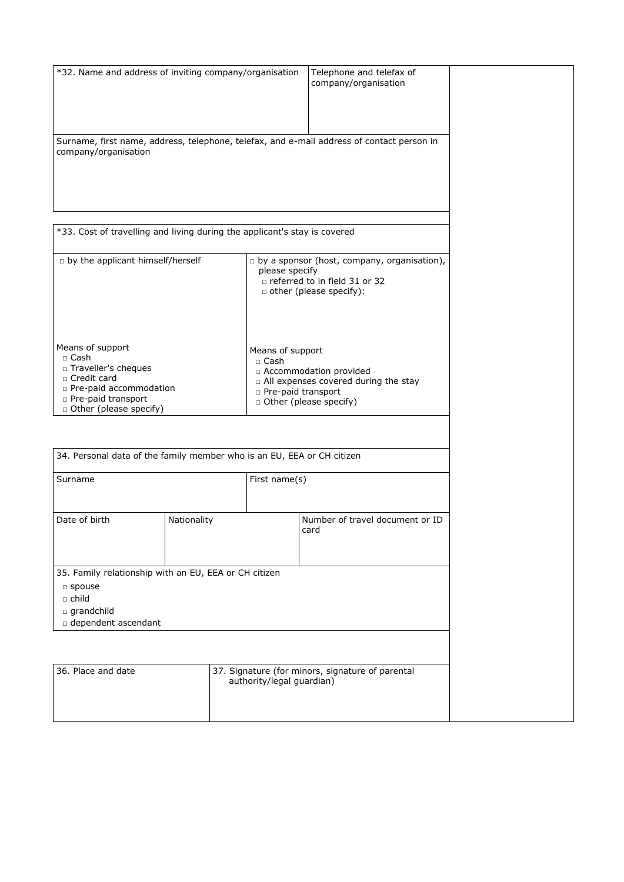| *32. Name and address of inviting company/organisation                                    |             |                           | Telephone and telefax of<br>company/organisation                   |  |
|-------------------------------------------------------------------------------------------|-------------|---------------------------|--------------------------------------------------------------------|--|
| Surname, first name, address, telephone, telefax, and e-mail address of contact person in |             |                           |                                                                    |  |
| company/organisation                                                                      |             |                           |                                                                    |  |
|                                                                                           |             |                           |                                                                    |  |
|                                                                                           |             |                           |                                                                    |  |
| *33. Cost of travelling and living during the applicant's stay is covered                 |             |                           |                                                                    |  |
|                                                                                           |             |                           |                                                                    |  |
| p by the applicant himself/herself                                                        |             | please specify            | $\Box$ by a sponsor (host, company, organisation),                 |  |
|                                                                                           |             |                           | □ referred to in field 31 or 32<br>other (please specify):         |  |
|                                                                                           |             |                           |                                                                    |  |
|                                                                                           |             |                           |                                                                    |  |
| Means of support                                                                          |             | Means of support          |                                                                    |  |
| □ Cash<br>□ Traveller's cheques                                                           |             | □ Cash                    |                                                                    |  |
| □ Credit card                                                                             |             |                           | □ Accommodation provided<br>a All expenses covered during the stay |  |
| n Pre-paid accommodation<br>n Pre-paid transport                                          |             | n Pre-paid transport      | □ Other (please specify)                                           |  |
| □ Other (please specify)                                                                  |             |                           |                                                                    |  |
|                                                                                           |             |                           |                                                                    |  |
| 34. Personal data of the family member who is an EU, EEA or CH citizen                    |             |                           |                                                                    |  |
| Surname<br>First name(s)                                                                  |             |                           |                                                                    |  |
|                                                                                           |             |                           |                                                                    |  |
| Date of birth                                                                             | Nationality |                           | Number of travel document or ID                                    |  |
|                                                                                           |             |                           | card                                                               |  |
|                                                                                           |             |                           |                                                                    |  |
| 35. Family relationship with an EU, EEA or CH citizen                                     |             |                           |                                                                    |  |
| □ spouse<br>$\Box$ child                                                                  |             |                           |                                                                    |  |
| grandchild                                                                                |             |                           |                                                                    |  |
| dependent ascendant                                                                       |             |                           |                                                                    |  |
|                                                                                           |             |                           |                                                                    |  |
| 36. Place and date                                                                        |             |                           | 37. Signature (for minors, signature of parental                   |  |
|                                                                                           |             | authority/legal guardian) |                                                                    |  |
|                                                                                           |             |                           |                                                                    |  |
|                                                                                           |             |                           |                                                                    |  |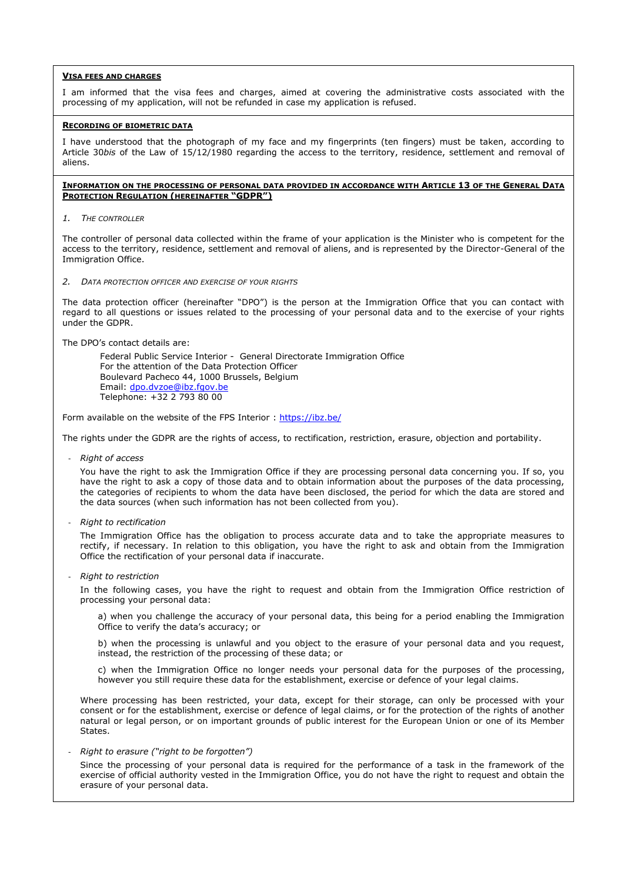# **VISA FEES AND CHARGES**

I am informed that the visa fees and charges, aimed at covering the administrative costs associated with the processing of my application, will not be refunded in case my application is refused.

## **RECORDING OF BIOMETRIC DATA**

I have understood that the photograph of my face and my fingerprints (ten fingers) must be taken, according to Article 30*bis* of the Law of 15/12/1980 regarding the access to the territory, residence, settlement and removal of aliens.

#### **INFORMATION ON THE PROCESSING OF PERSONAL DATA PROVIDED IN ACCORDANCE WITH ARTICLE 13 OF THE GENERAL DATA PROTECTION REGULATION (HEREINAFTER "GDPR")**

*1. THE CONTROLLER*

The controller of personal data collected within the frame of your application is the Minister who is competent for the access to the territory, residence, settlement and removal of aliens, and is represented by the Director-General of the Immigration Office.

*2. DATA PROTECTION OFFICER AND EXERCISE OF YOUR RIGHTS*

The data protection officer (hereinafter "DPO") is the person at the Immigration Office that you can contact with regard to all questions or issues related to the processing of your personal data and to the exercise of your rights under the GDPR.

The DPO's contact details are:

Federal Public Service Interior - General Directorate Immigration Office For the attention of the Data Protection Officer Boulevard Pacheco 44, 1000 Brussels, Belgium Email: [dpo.dvzoe@ibz.fgov.be](mailto:dpo.dvzoe@ibz.fgov.be) Telephone: +32 2 793 80 00

Form available on the website of the FPS Interior :<https://ibz.be/>

The rights under the GDPR are the rights of access, to rectification, restriction, erasure, objection and portability.

- *Right of access*

You have the right to ask the Immigration Office if they are processing personal data concerning you. If so, you have the right to ask a copy of those data and to obtain information about the purposes of the data processing, the categories of recipients to whom the data have been disclosed, the period for which the data are stored and the data sources (when such information has not been collected from you).

- *Right to rectification*

The Immigration Office has the obligation to process accurate data and to take the appropriate measures to rectify, if necessary. In relation to this obligation, you have the right to ask and obtain from the Immigration Office the rectification of your personal data if inaccurate.

- *Right to restriction*

In the following cases, you have the right to request and obtain from the Immigration Office restriction of processing your personal data:

a) when you challenge the accuracy of your personal data, this being for a period enabling the Immigration Office to verify the data's accuracy; or

b) when the processing is unlawful and you object to the erasure of your personal data and you request, instead, the restriction of the processing of these data; or

c) when the Immigration Office no longer needs your personal data for the purposes of the processing, however you still require these data for the establishment, exercise or defence of your legal claims.

Where processing has been restricted, your data, except for their storage, can only be processed with your consent or for the establishment, exercise or defence of legal claims, or for the protection of the rights of another natural or legal person, or on important grounds of public interest for the European Union or one of its Member States.

- *Right to erasure ("right to be forgotten")*

Since the processing of your personal data is required for the performance of a task in the framework of the exercise of official authority vested in the Immigration Office, you do not have the right to request and obtain the erasure of your personal data.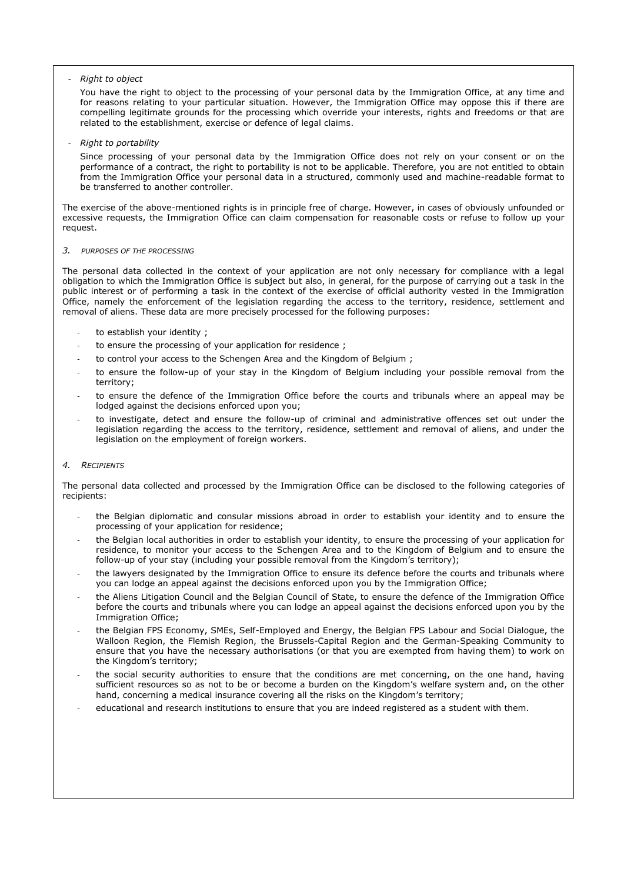# - *Right to object*

You have the right to object to the processing of your personal data by the Immigration Office, at any time and for reasons relating to your particular situation. However, the Immigration Office may oppose this if there are compelling legitimate grounds for the processing which override your interests, rights and freedoms or that are related to the establishment, exercise or defence of legal claims.

## - *Right to portability*

Since processing of your personal data by the Immigration Office does not rely on your consent or on the performance of a contract, the right to portability is not to be applicable. Therefore, you are not entitled to obtain from the Immigration Office your personal data in a structured, commonly used and machine-readable format to be transferred to another controller.

The exercise of the above-mentioned rights is in principle free of charge. However, in cases of obviously unfounded or excessive requests, the Immigration Office can claim compensation for reasonable costs or refuse to follow up your request.

## *3. PURPOSES OF THE PROCESSING*

The personal data collected in the context of your application are not only necessary for compliance with a legal obligation to which the Immigration Office is subject but also, in general, for the purpose of carrying out a task in the public interest or of performing a task in the context of the exercise of official authority vested in the Immigration Office, namely the enforcement of the legislation regarding the access to the territory, residence, settlement and removal of aliens. These data are more precisely processed for the following purposes:

- to establish your identity ;
- to ensure the processing of your application for residence;
- to control your access to the Schengen Area and the Kingdom of Belgium;
- to ensure the follow-up of your stay in the Kingdom of Belgium including your possible removal from the territory;
- to ensure the defence of the Immigration Office before the courts and tribunals where an appeal may be lodged against the decisions enforced upon you;
- to investigate, detect and ensure the follow-up of criminal and administrative offences set out under the legislation regarding the access to the territory, residence, settlement and removal of aliens, and under the legislation on the employment of foreign workers.

#### *4. RECIPIENTS*

The personal data collected and processed by the Immigration Office can be disclosed to the following categories of recipients:

- the Belgian diplomatic and consular missions abroad in order to establish your identity and to ensure the processing of your application for residence;
- the Belgian local authorities in order to establish your identity, to ensure the processing of your application for residence, to monitor your access to the Schengen Area and to the Kingdom of Belgium and to ensure the follow-up of your stay (including your possible removal from the Kingdom's territory);
- the lawyers designated by the Immigration Office to ensure its defence before the courts and tribunals where you can lodge an appeal against the decisions enforced upon you by the Immigration Office;
- the Aliens Litigation Council and the Belgian Council of State, to ensure the defence of the Immigration Office before the courts and tribunals where you can lodge an appeal against the decisions enforced upon you by the Immigration Office;
- the Belgian FPS Economy, SMEs, Self-Employed and Energy, the Belgian FPS Labour and Social Dialogue, the Walloon Region, the Flemish Region, the Brussels-Capital Region and the German-Speaking Community to ensure that you have the necessary authorisations (or that you are exempted from having them) to work on the Kingdom's territory;
- the social security authorities to ensure that the conditions are met concerning, on the one hand, having sufficient resources so as not to be or become a burden on the Kingdom's welfare system and, on the other hand, concerning a medical insurance covering all the risks on the Kingdom's territory;
- educational and research institutions to ensure that you are indeed registered as a student with them.